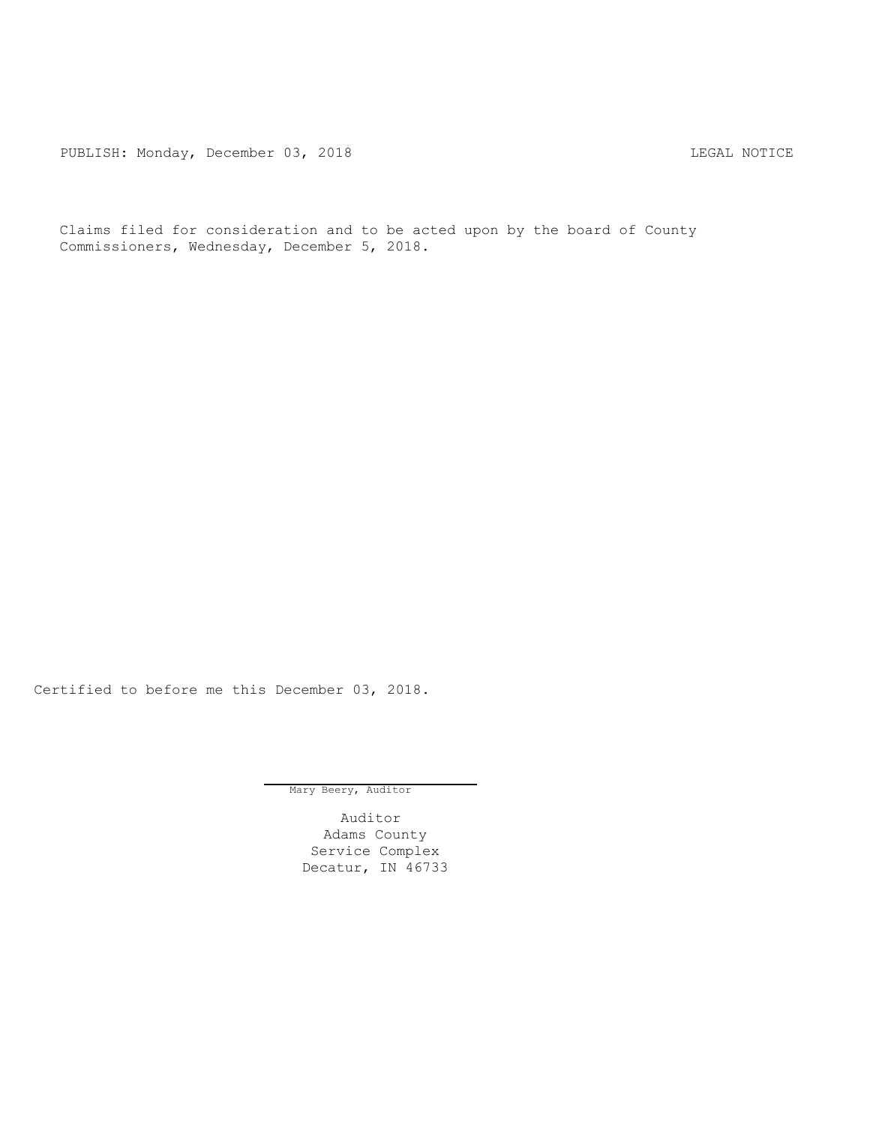PUBLISH: Monday, December 03, 2018 CHA CHANGE CONSERVATION CHANGE CONTROL PUBLISH: MOTICE

Claims filed for consideration and to be acted upon by the board of County Commissioners, Wednesday, December 5, 2018.

Certified to before me this December 03, 2018.

Mary Beery, Auditor

Auditor Adams County Service Complex Decatur, IN 46733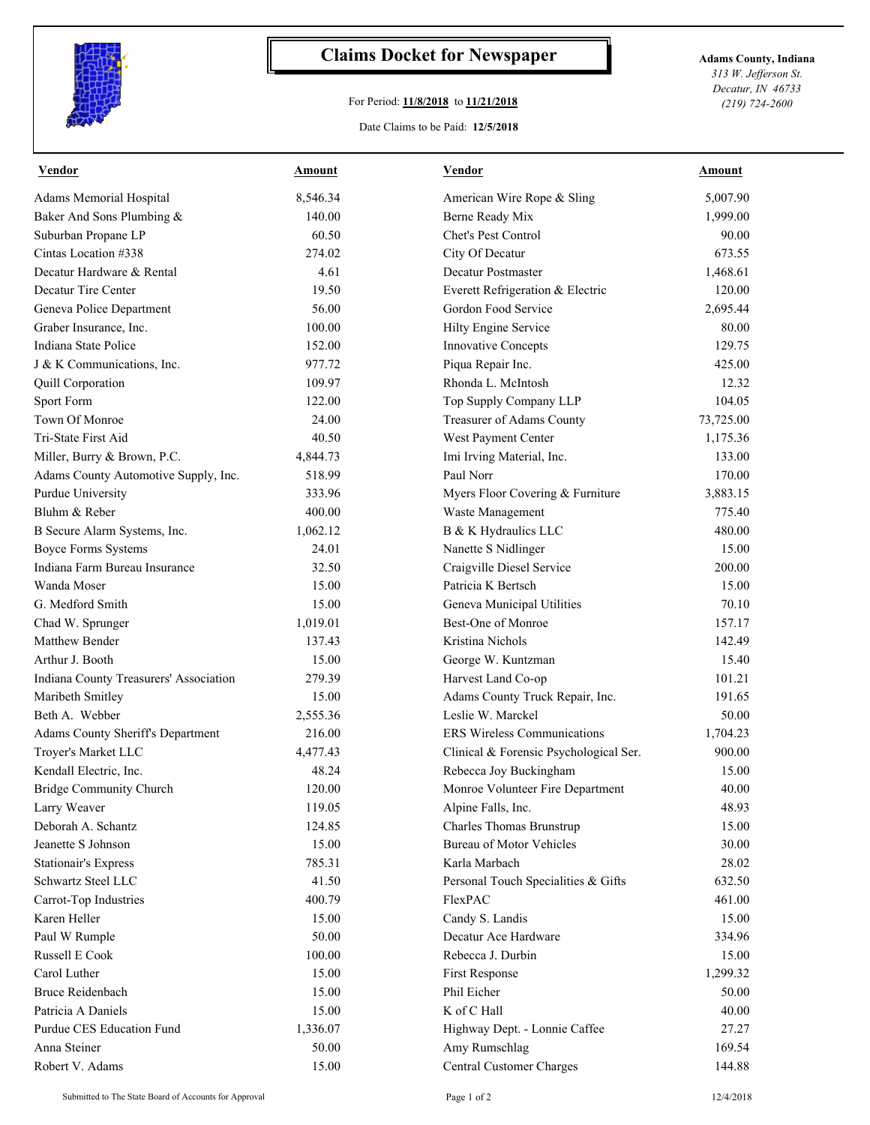

## **Claims Docket for Newspaper Adams County, Indiana**

## For Period: **11/8/2018** to **11/21/2018**

*313 W. Jefferson St. Decatur, IN 46733 (219) 724-2600*

## Date Claims to be Paid: **12/5/2018**

| Vendor                                 | Amount   | Vendor                                                                            | Amount    |
|----------------------------------------|----------|-----------------------------------------------------------------------------------|-----------|
| Adams Memorial Hospital                | 8,546.34 | American Wire Rope & Sling                                                        | 5,007.90  |
| Baker And Sons Plumbing &              | 140.00   | Berne Ready Mix                                                                   | 1,999.00  |
| Suburban Propane LP                    | 60.50    | Chet's Pest Control                                                               | 90.00     |
| Cintas Location #338                   | 274.02   | City Of Decatur                                                                   | 673.55    |
| Decatur Hardware & Rental              | 4.61     | Decatur Postmaster                                                                | 1,468.61  |
| Decatur Tire Center                    | 19.50    | Everett Refrigeration & Electric                                                  | 120.00    |
| Geneva Police Department               | 56.00    | Gordon Food Service                                                               | 2,695.44  |
| Graber Insurance, Inc.                 | 100.00   | Hilty Engine Service                                                              | 80.00     |
| Indiana State Police                   | 152.00   | Innovative Concepts                                                               | 129.75    |
| J & K Communications, Inc.             | 977.72   | Piqua Repair Inc.                                                                 | 425.00    |
| Quill Corporation                      | 109.97   | Rhonda L. McIntosh                                                                | 12.32     |
| Sport Form                             | 122.00   | Top Supply Company LLP                                                            | 104.05    |
| Town Of Monroe                         | 24.00    | Treasurer of Adams County                                                         | 73,725.00 |
| Tri-State First Aid                    | 40.50    | West Payment Center                                                               | 1,175.36  |
| Miller, Burry & Brown, P.C.            | 4,844.73 | Imi Irving Material, Inc.                                                         | 133.00    |
| Adams County Automotive Supply, Inc.   | 518.99   | Paul Norr                                                                         | 170.00    |
| Purdue University                      | 333.96   | Myers Floor Covering & Furniture                                                  | 3,883.15  |
| Bluhm & Reber                          | 400.00   | Waste Management                                                                  | 775.40    |
| B Secure Alarm Systems, Inc.           | 1,062.12 | B & K Hydraulics LLC                                                              | 480.00    |
| <b>Boyce Forms Systems</b>             | 24.01    | Nanette S Nidlinger                                                               | 15.00     |
| Indiana Farm Bureau Insurance          | 32.50    | Craigville Diesel Service                                                         | 200.00    |
| Wanda Moser                            | 15.00    | Patricia K Bertsch                                                                | 15.00     |
| G. Medford Smith                       | 15.00    | Geneva Municipal Utilities                                                        | 70.10     |
| Chad W. Sprunger                       | 1,019.01 | Best-One of Monroe                                                                | 157.17    |
| Matthew Bender                         | 137.43   | Kristina Nichols                                                                  | 142.49    |
| Arthur J. Booth                        | 15.00    | George W. Kuntzman                                                                | 15.40     |
| Indiana County Treasurers' Association | 279.39   | Harvest Land Co-op                                                                | 101.21    |
| Maribeth Smitley                       | 15.00    | Adams County Truck Repair, Inc.                                                   | 191.65    |
| Beth A. Webber                         | 2,555.36 | Leslie W. Marckel                                                                 | 50.00     |
| Adams County Sheriff's Department      | 216.00   | <b>ERS</b> Wireless Communications                                                | 1,704.23  |
| Troyer's Market LLC                    | 4,477.43 | Clinical & Forensic Psychological Ser.                                            | 900.00    |
| Kendall Electric, Inc.                 | 48.24    | Rebecca Joy Buckingham                                                            | 15.00     |
| Bridge Community Church                | 120.00   | Monroe Volunteer Fire Department                                                  | 40.00     |
| Larry Weaver                           | 119.05   | Alpine Falls, Inc.                                                                | 48.93     |
| Deborah A. Schantz                     | 124.85   | Charles Thomas Brunstrup                                                          | 15.00     |
| Jeanette S Johnson                     | 15.00    | <b>Bureau of Motor Vehicles</b>                                                   | 30.00     |
| <b>Stationair's Express</b>            | 785.31   | Karla Marbach                                                                     | 28.02     |
| Schwartz Steel LLC                     | 41.50    | Personal Touch Specialities & Gifts                                               | 632.50    |
| Carrot-Top Industries                  | 400.79   | FlexPAC                                                                           | 461.00    |
| Karen Heller                           | 15.00    | Candy S. Landis                                                                   | 15.00     |
| Paul W Rumple                          | 50.00    | Decatur Ace Hardware                                                              | 334.96    |
| Russell E Cook                         | 100.00   | Rebecca J. Durbin                                                                 | 15.00     |
| Carol Luther                           | 15.00    | First Response                                                                    | 1,299.32  |
| <b>Bruce Reidenbach</b>                | 15.00    | Phil Eicher                                                                       | 50.00     |
| Patricia A Daniels                     | 15.00    | K of C Hall                                                                       | 40.00     |
| Purdue CES Education Fund              | 1,336.07 |                                                                                   | 27.27     |
| Anna Steiner                           | 50.00    |                                                                                   | 169.54    |
| Robert V. Adams                        | 15.00    |                                                                                   | 144.88    |
|                                        |          | Highway Dept. - Lonnie Caffee<br>Amy Rumschlag<br><b>Central Customer Charges</b> |           |